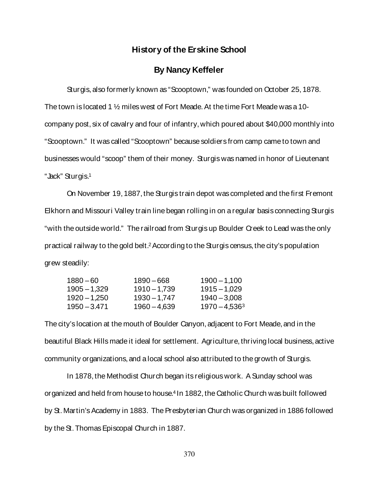## **History of the Erskine School**

### **By Nancy Keffeler**

Sturgis, also formerly known as "Scooptown," was founded on October 25, 1878. The town is located 1 ½ miles west of Fort Meade. At the time Fort Meade was a 10 company post, six of cavalry and four of infantry, which poured about \$40,000 monthly into "Scooptown." It was called "Scooptown" because soldiers from camp came to town and businesses would "scoop" them of their money. Sturgis was named in honor of Lieutenant "Jack" Sturgis.<sup>1</sup>

On November 19, 1887, the Sturgis train depot was completed and the first Fremont Elkhorn and Missouri Valley train line began rolling in on a regular basis connecting Sturgis "with the outside world." The railroad from Sturgis up Boulder Creek to Lead was the only practical railway to the gold belt.2According to the Sturgis census, the city's population grew steadily:

| 1880 – 60    | 1890-668       | $1900 - 1,100$   |
|--------------|----------------|------------------|
| 1905 – 1,329 | $1910 - 1,739$ | $1915 - 1.029$   |
| 1920 – 1.250 | $1930 - 1,747$ | $1940 - 3.008$   |
| 1950 – 3.471 | $1960 - 4,639$ | $1970 - 4,536^3$ |

The city's location at the mouth of Boulder Canyon, adjacent to Fort Meade, and in the beautiful Black Hills made it ideal for settlement. Agriculture, thriving local business, active community organizations, and a local school also attributed to the growth of Sturgis.

 In 1878, the Methodist Church began its religious work. A Sunday school was organized and held from house to house.<sup>4</sup> In 1882, the Catholic Church was built followed by St. Martin's Academy in 1883. The Presbyterian Church was organized in 1886 followed by the St. Thomas Episcopal Church in 1887.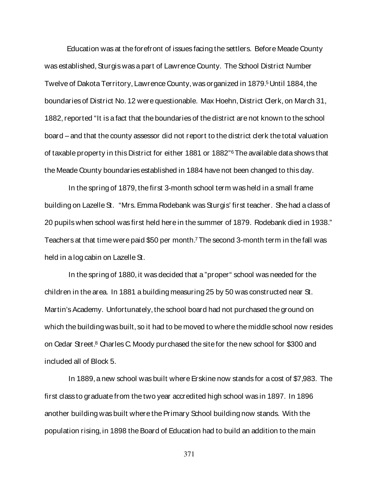Education was at the forefront of issues facing the settlers. Before Meade County was established, Sturgis was a part of Lawrence County. The School District Number Twelve of Dakota Territory, Lawrence County, was organized in 1879.5Until 1884, the boundaries of District No. 12 were questionable. Max Hoehn, District Clerk, on March 31, 1882, reported "It is a fact that the boundaries of the district are not known to the school board – and that the county assessor did not report to the district clerk the total valuation of taxable property in this District for either 1881 or 1882"6The available data shows that the Meade County boundaries established in 1884 have not been changed to this day.

 In the spring of 1879, the first 3-month school term was held in a small frame building on Lazelle St. "Mrs. Emma Rodebank was Sturgis' first teacher. She had a class of 20 pupils when school was first held here in the summer of 1879. Rodebank died in 1938." Teachers at that time were paid \$50 per month.7The second 3-month term in the fall was held in a log cabin on Lazelle St.

 In the spring of 1880, it was decided that a "proper" school was needed for the children in the area. In 1881 a building measuring 25 by 50 was constructed near St. Martin's Academy. Unfortunately, the school board had not purchased the ground on which the building was built, so it had to be moved to where the middle school now resides on Cedar Street.<sup>8</sup> Charles C. Moody purchased the site for the new school for \$300 and included all of Block 5.

 In 1889, a new school was built where Erskine now stands for a cost of \$7,983. The first class to graduate from the two year accredited high school was in 1897. In 1896 another building was built where the Primary School building now stands. With the population rising, in 1898 the Board of Education had to build an addition to the main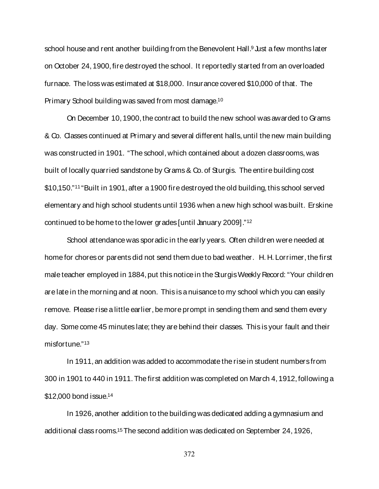school house and rent another building from the Benevolent Hall.<sup>9</sup> Just a few months later on October 24, 1900, fire destroyed the school. It reportedly started from an overloaded furnace. The loss was estimated at \$18,000. Insurance covered \$10,000 of that. The Primary School building was saved from most damage.<sup>10</sup>

On December 10, 1900, the contract to build the new school was awarded to Grams & Co. Classes continued at Primary and several different halls, until the new main building was constructed in 1901. "The school, which contained about a dozen classrooms, was built of locally quarried sandstone by Grams & Co. of Sturgis. The entire building cost \$10,150."<sup>11</sup> "Built in 1901, after a 1900 fire destroyed the old building, this school served elementary and high school students until 1936 when a new high school was built. Erskine continued to be home to the lower grades [until January 2009]."<sup>12</sup>

School attendance was sporadic in the early years. Often children were needed at home for chores or parents did not send them due to bad weather. H. H. Lorrimer, the first male teacher employed in 1884, put this notice in the Sturgis Weekly Record: "Your children are late in the morning and at noon. This is a nuisance to my school which you can easily remove. Please rise a little earlier, be more prompt in sending them and send them every day. Some come 45 minutes late; they are behind their classes. This is your fault and their misfortune."<sup>13</sup>

In 1911, an addition was added to accommodate the rise in student numbers from 300 in 1901 to 440 in 1911. The first addition was completed on March 4, 1912, following a \$12,000 bond issue.<sup>14</sup>

In 1926, another addition to the building was dedicated adding a gymnasium and additional class rooms.15The second addition was dedicated on September 24, 1926,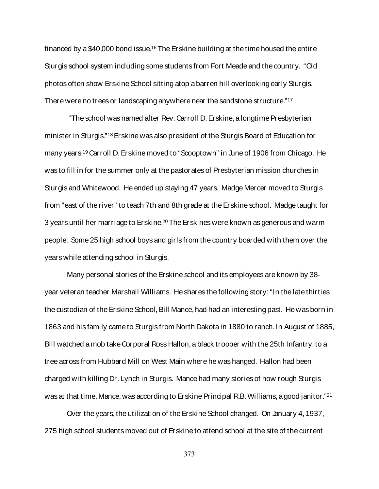financed by a  $$40,000$  bond issue.<sup>16</sup> The Erskine building at the time housed the entire Sturgis school system including some students from Fort Meade and the country. "Old photos often show Erskine School sitting atop a barren hill overlooking early Sturgis. There were no trees or landscaping anywhere near the sandstone structure."<sup>17</sup>

 "The school was named after Rev. Carroll D. Erskine, a longtime Presbyterian minister in Sturgis."<sup>18</sup> Erskine was also president of the Sturgis Board of Education for many years.<sup>19</sup> Carroll D. Erskine moved to "Scooptown" in June of 1906 from Chicago. He was to fill in for the summer only at the pastorates of Presbyterian mission churches in Sturgis and Whitewood. He ended up staying 47 years. Madge Mercer moved to Sturgis from "east of the river" to teach 7th and 8th grade at the Erskine school. Madge taught for 3 years until her marriage to Erskine.20The Erskines were known as generous and warm people. Some 25 high school boys and girls from the country boarded with them over the years while attending school in Sturgis.

Many personal stories of the Erskine school and its employees are known by 38 year veteran teacher Marshall Williams. He shares the following story: "In the late thirties the custodian of the Erskine School, Bill Mance, had had an interesting past. He was born in 1863 and his family came to Sturgis from North Dakota in 1880 to ranch. In August of 1885, Bill watched a mob take Corporal Ross Hallon, a black trooper with the 25th Infantry, to a tree across from Hubbard Mill on West Main where he was hanged. Hallon had been charged with killing Dr. Lynch in Sturgis. Mance had many stories of how rough Sturgis was at that time. Mance, was according to Erskine Principal R.B. Williams, a good janitor."<sup>21</sup>

Over the years, the utilization of the Erskine School changed. On January 4, 1937, 275 high school students moved out of Erskine to attend school at the site of the current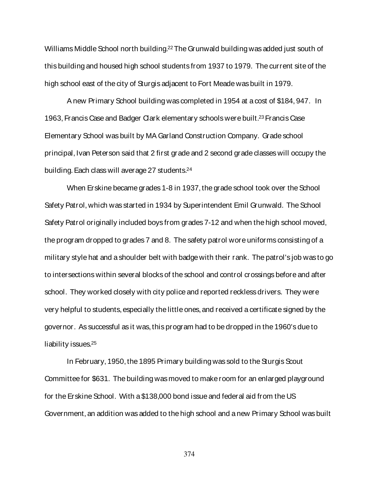Williams Middle School north building.22The Grunwald building was added just south of this building and housed high school students from 1937 to 1979. The current site of the high school east of the city of Sturgis adjacent to Fort Meade was built in 1979.

A new Primary School building was completed in 1954 at a cost of \$184, 947. In 1963, Francis Case and Badger Clark elementary schools were built.23Francis Case Elementary School was built by MA Garland Construction Company. Grade school principal, Ivan Peterson said that 2 first grade and 2 second grade classes will occupy the building. Each class will average 27 students.<sup>24</sup>

When Erskine became grades 1-8 in 1937, the grade school took over the School Safety Patrol, which was started in 1934 by Superintendent Emil Grunwald. The School Safety Patrol originally included boys from grades 7-12 and when the high school moved, the program dropped to grades 7 and 8. The safety patrol wore uniforms consisting of a military style hat and a shoulder belt with badge with their rank. The patrol's job was to go to intersections within several blocks of the school and control crossings before and after school. They worked closely with city police and reported reckless drivers. They were very helpful to students, especially the little ones, and received a certificate signed by the governor. As successful as it was, this program had to be dropped in the 1960's due to liability issues.<sup>25</sup>

In February, 1950, the 1895 Primary building was sold to the Sturgis Scout Committee for \$631. The building was moved to make room for an enlarged playground for the Erskine School. With a \$138,000 bond issue and federal aid from the US Government, an addition was added to the high school and a new Primary School was built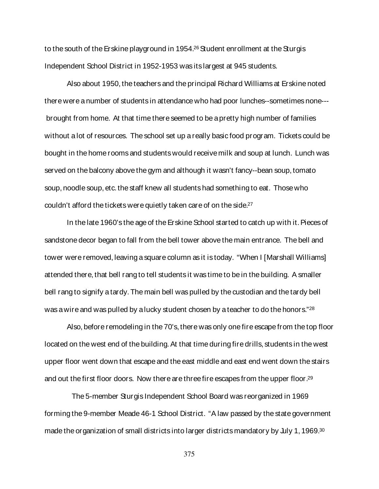to the south of the Erskine playground in 1954.<sup>26</sup> Student enrollment at the Sturgis Independent School District in 1952-1953 was its largest at 945 students.

Also about 1950, the teachers and the principal Richard Williams at Erskine noted there were a number of students in attendance who had poor lunches--sometimes none-- brought from home. At that time there seemed to be a pretty high number of families without a lot of resources. The school set up a really basic food program. Tickets could be bought in the home rooms and students would receive milk and soup at lunch. Lunch was served on the balcony above the gym and although it wasn't fancy--bean soup, tomato soup, noodle soup, etc. the staff knew all students had something to eat. Those who couldn't afford the tickets were quietly taken care of on the side.<sup>27</sup>

In the late 1960's the age of the Erskine School started to catch up with it. Pieces of sandstone decor began to fall from the bell tower above the main entrance. The bell and tower were removed, leaving a square column as it is today. "When I [Marshall Williams] attended there, that bell rang to tell students it was time to be in the building. A smaller bell rang to signify a tardy. The main bell was pulled by the custodian and the tardy bell was a wire and was pulled by a lucky student chosen by a teacher to do the honors."<sup>28</sup>

Also, before remodeling in the 70's, there was only one fire escape from the top floor located on the west end of the building. At that time during fire drills, students in the west upper floor went down that escape and the east middle and east end went down the stairs and out the first floor doors. Now there are three fire escapes from the upper floor.<sup>29</sup>

 The 5-member Sturgis Independent School Board was reorganized in 1969 forming the 9-member Meade 46-1 School District. "A law passed by the state government made the organization of small districts into larger districts mandatory by July 1, 1969.<sup>30</sup>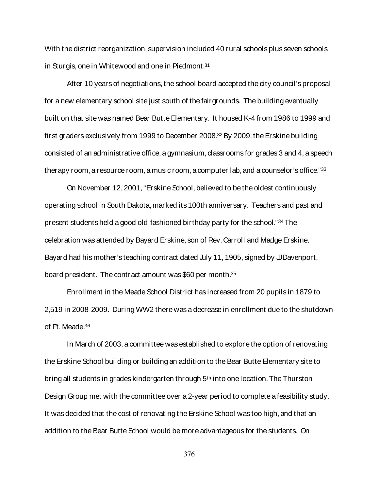With the district reorganization, supervision included 40 rural schools plus seven schools in Sturgis, one in Whitewood and one in Piedmont.<sup>31</sup>

After 10 years of negotiations, the school board accepted the city council's proposal for a new elementary school site just south of the fairgrounds. The building eventually built on that site was named Bear Butte Elementary. It housed K-4 from 1986 to 1999 and first graders exclusively from 1999 to December 2008.32By 2009, the Erskine building consisted of an administrative office, a gymnasium, classrooms for grades 3 and 4, a speech therapy room, a resource room, a music room, a computer lab, and a counselor's office."<sup>33</sup>

On November 12, 2001, "Erskine School, believed to be the oldest continuously operating school in South Dakota, marked its 100th anniversary. Teachers and past and present students held a good old-fashioned birthday party for the school."34The celebration was attended by Bayard Erskine, son of Rev. Carroll and Madge Erskine. Bayard had his mother's teaching contract dated July 11, 1905, signed by JJDavenport, board president. The contract amount was \$60 per month.<sup>35</sup>

Enrollment in the Meade School District has increased from 20 pupils in 1879 to 2,519 in 2008-2009. During WW2 there was a decrease in enrollment due to the shutdown of Ft. Meade.<sup>36</sup>

In March of 2003, a committee was established to explore the option of renovating the Erskine School building or building an addition to the Bear Butte Elementary site to bring all students in grades kindergarten through 5th into one location. The Thurston Design Group met with the committee over a 2-year period to complete a feasibility study. It was decided that the cost of renovating the Erskine School was too high, and that an addition to the Bear Butte School would be more advantageous for the students. On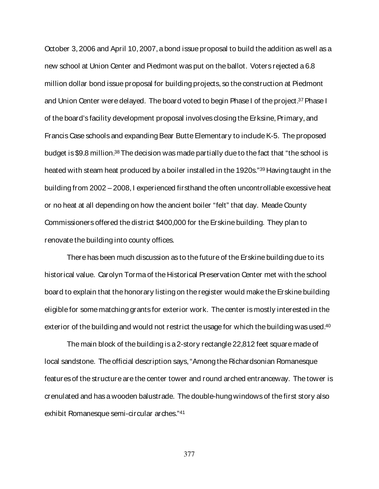October 3, 2006 and April 10, 2007, a bond issue proposal to build the addition as well as a new school at Union Center and Piedmont was put on the ballot. Voters rejected a 6.8 million dollar bond issue proposal for building projects, so the construction at Piedmont and Union Center were delayed. The board voted to begin Phase I of the project.37Phase I of the board's facility development proposal involves closing the Erksine, Primary, and Francis Case schools and expanding Bear Butte Elementary to include K-5. The proposed budget is \$9.8 million.<sup>38</sup> The decision was made partially due to the fact that "the school is heated with steam heat produced by a boiler installed in the 1920s."<sup>39</sup> Having taught in the building from 2002 – 2008, I experienced firsthand the often uncontrollable excessive heat or no heat at all depending on how the ancient boiler "felt" that day. Meade County Commissioners offered the district \$400,000 for the Erskine building. They plan to renovate the building into county offices.

There has been much discussion as to the future of the Erskine building due to its historical value. Carolyn Torma of the Historical Preservation Center met with the school board to explain that the honorary listing on the register would make the Erskine building eligible for some matching grants for exterior work. The center is mostly interested in the exterior of the building and would not restrict the usage for which the building was used.<sup>40</sup>

The main block of the building is a 2-story rectangle 22,812 feet square made of local sandstone. The official description says, "Among the Richardsonian Romanesque features of the structure are the center tower and round arched entranceway. The tower is crenulated and has a wooden balustrade. The double-hung windows of the first story also exhibit Romanesque semi-circular arches."41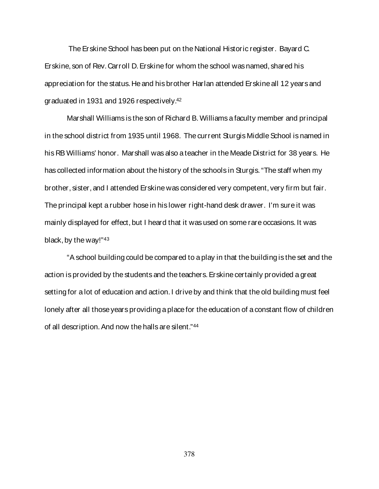The Erskine School has been put on the National Historic register. Bayard C. Erskine, son of Rev. Carroll D. Erskine for whom the school was named, shared his appreciation for the status. He and his brother Harlan attended Erskine all 12 years and graduated in 1931 and 1926 respectively.<sup>42</sup>

Marshall Williams is the son of Richard B. Williams a faculty member and principal in the school district from 1935 until 1968. The current Sturgis Middle School is named in his RB Williams' honor. Marshall was also a teacher in the Meade District for 38 years. He has collected information about the history of the schools in Sturgis. "The staff when my brother, sister, and I attended Erskine was considered very competent, very firm but fair. The principal kept a rubber hose in his lower right-hand desk drawer. I'm sure it was mainly displayed for effect, but I heard that it was used on some rare occasions. It was black, by the way!"<sup>43</sup>

"A school building could be compared to a play in that the building is the set and the action is provided by the students and the teachers. Erskine certainly provided a great setting for a lot of education and action. I drive by and think that the old building must feel lonely after all those years providing a place for the education of a constant flow of children of all description. And now the halls are silent."44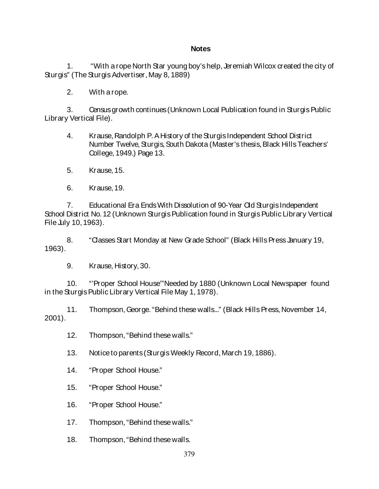#### **Notes**

1. "With a rope North Star young boy's help, Jeremiah Wilcox created the city of Sturgis" (The Sturgis Advertiser, May 8, 1889)

2. With a rope.

3. Census growth continues (Unknown Local Publication found in Sturgis Public Library Vertical File).

4. Krause, Randolph P. A History of the Sturgis Independent School District Number Twelve, Sturgis, South Dakota (Master's thesis, Black Hills Teachers' College, 1949.) Page 13.

5. Krause, 15.

6. Krause, 19.

7. Educational Era Ends With Dissolution of 90-Year Old Sturgis Independent School District No. 12 (Unknown Sturgis Publication found in Sturgis Public Library Vertical File July 10, 1963).

8. "Classes Start Monday at New Grade School" (Black Hills Press January 19, 1963).

9. Krause, History, 30.

10. "'Proper School House'"Needed by 1880 (Unknown Local Newspaper found in the Sturgis Public Library Vertical File May 1, 1978).

11. Thompson, George. "Behind these walls..." (Black Hills Press, November 14, 2001).

12. Thompson, "Behind these walls."

13. Notice to parents (Sturgis Weekly Record, March 19, 1886).

14. "Proper School House."

15. "Proper School House."

16. "Proper School House."

17. Thompson, "Behind these walls."

18. Thompson, "Behind these walls.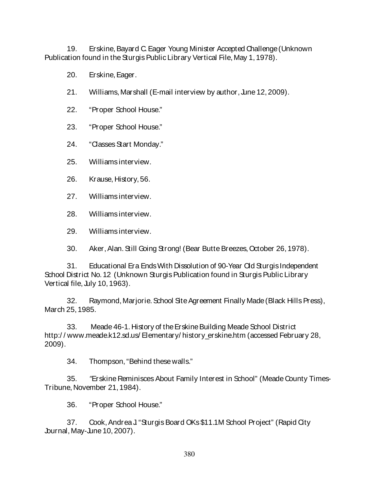19. Erskine, Bayard C.Eager Young Minister Accepted Challenge (Unknown Publication found in the Sturgis Public Library Vertical File, May 1, 1978).

- 20. Erskine, Eager.
- 21. Williams, Marshall (E-mail interview by author, June 12, 2009).
- 22. "Proper School House."
- 23. "Proper School House."
- 24. "Classes Start Monday."
- 25. Williams interview.
- 26. Krause, History, 56.
- 27. Williams interview.
- 28. Williams interview.
- 29. Williams interview.

30. Aker, Alan. Still Going Strong! (Bear Butte Breezes, October 26, 1978).

31. Educational Era Ends With Dissolution of 90-Year Old Sturgis Independent School District No. 12 (Unknown Sturgis Publication found in Sturgis Public Library Vertical file, July 10, 1963).

32. Raymond, Marjorie.School Site Agreement Finally Made (Black Hills Press), March 25, 1985.

33. Meade 46-1. History of the Erskine Building Meade School District [http:/ / www.meade.k12.sd.us/ Elementary/ history\\_erskine.htm](http://www.meade.k12.sd.us/Elementary/history_erskine.htm) (accessed February 28, 2009).

34. Thompson, "Behind these walls."

35. *╉*Erskine Reminisces About Family Interest in School" (Meade County Times-Tribune, November 21, 1984).

36. "Proper School House."

37. Cook, Andrea J "Sturgis Board OKs \$11.1M School Project" (Rapid City Journal, May-June 10, 2007).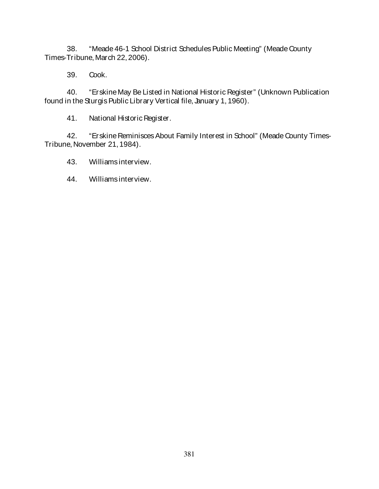38. "Meade 46-1 School District Schedules Public Meeting" (Meade County Times-Tribune, March 22, 2006).

39. Cook.

40. "Erskine May Be Listed in National Historic Register" (Unknown Publication found in the Sturgis Public Library Vertical file, January 1, 1960).

41. National Historic Register.

42. "Erskine Reminisces About Family Interest in School" (Meade County Times-Tribune, November 21, 1984).

43. Williams interview.

44. Williams interview.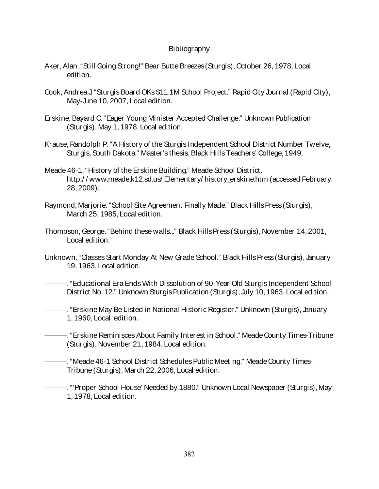#### **Bibliography**

- Aker, Alan. "Still Going Strong!" Bear Butte Breezes (Sturgis), October 26, 1978, Local edition.
- Cook, Andrea J. "Sturgis Board OKs \$11.1M School Project." Rapid City Journal (Rapid City), May-June 10, 2007, Local edition.
- Erskine, Bayard C. "Eager Young Minister Accepted Challenge." Unknown Publication (Sturgis), May 1, 1978, Local edition.
- Krause, Randolph P. "A History of the Sturgis Independent School District Number Twelve, Sturgis, South Dakota." Master's thesis, Black Hills Teachers' College, 1949.
- Meade 46-1. "History of the Erskine Building." Meade School District. [http:/ / www.meade.k12.sd.us/ Elementary/ history\\_erskine.htm](http://www.meade.k12.sd.us/Elementary/history_erskine.htm) (accessed February 28, 2009).
- Raymond, Marjorie. "School Site Agreement Finally Made." Black Hills Press (Sturgis), March 25, 1985, Local edition.
- Thompson, George. "Behind these walls..." Black Hills Press (Sturgis), November 14, 2001, Local edition.
- Unknown. "Classes Start Monday At New Grade School." Black Hills Press (Sturgis), January 19, 1963, Local edition.
- ———. "Educational Era Ends With Dissolution of 90-Year Old Sturgis Independent School District No. 12." Unknown Sturgis Publication (Sturgis), July 10, 1963, Local edition.
- ———. "Erskine May Be Listed in National Historic Register." Unknown (Sturgis), January 1, 1960, Local edition.
- ———. "Erskine Reminisces About Family Interest in School." Meade County Times-Tribune (Sturgis), November 21, 1984, Local edition.
- ———. "Meade 46-1 School District Schedules Public Meeting." Meade County Times-Tribune (Sturgis), March 22, 2006, Local edition.
- ———. "'Proper School House' Needed by 1880." Unknown Local Newspaper (Sturgis), May 1, 1978, Local edition.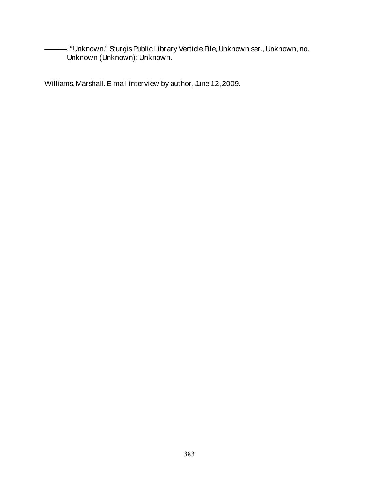———. "Unknown." Sturgis Public Library Verticle File, Unknown ser., Unknown, no. Unknown (Unknown): Unknown.

Williams, Marshall. E-mail interview by author, June 12, 2009.